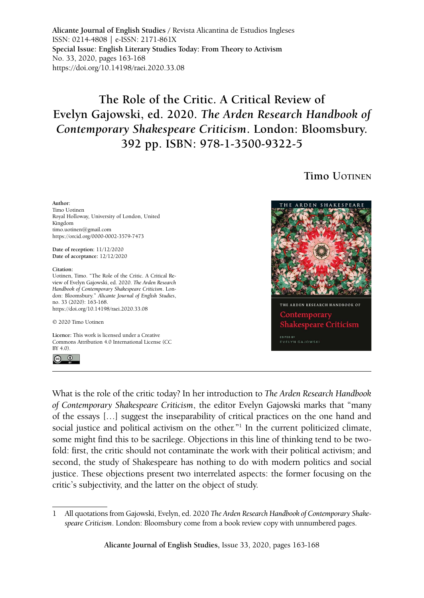**Alicante Journal of English Studies /** Revista Alicantina de Estudios Ingleses ISSN: 0214-4808 | e-ISSN: 2171-861X **Special Issue: English Literary Studies Today: From Theory to Activism** No. 33, 2020, pages 163-168 <https://doi.org/10.14198/raei.2020.33.08>

## **The Role of the Critic. A Critical Review of Evelyn Gajowski, ed. 2020.** *The Arden Research Handbook of Contemporary Shakespeare Criticism***. London: Bloomsbury. 392 pp. ISBN: 978-1-3500-9322-5**

## **Timo** *<u>UOTINEN</u>*

**Author:** Timo Uotinen Royal Holloway, University of London, United Kingdom timo.uotinen@gmail.com <https://orcid.org/0000-0002-3579-7473> **Date of reception:** 11/12/2020 **Date of acceptance:** 12/12/2020

**Citation:**

Uotinen, Timo. "The Role of the Critic. A Critical Review of Evelyn Gajowski, ed. 2020. *The Arden Research Handbook of Contemporary Shakespeare Criticism*. London: Bloomsbury." *Alicante Journal of English Studies*, no. 33 (2020): 163-168. <https://doi.org/10.14198/raei.2020.33.08>

© 2020 Timo Uotine[n](https://doi.org/10.14198/raei.2020.33.01)

**Licence:** [This work is licensed under a Creative](https://creativecommons.org/licenses/by/4.0/)  [Commons Attribution 4.0 International License \(CC](https://creativecommons.org/licenses/by/4.0/)  [BY 4.0\).](https://creativecommons.org/licenses/by/4.0/)





What is the role of the critic today? In her introduction to *The Arden Research Handbook of Contemporary Shakespeare Criticism*, the editor Evelyn Gajowski marks that "many of the essays […] suggest the inseparability of critical practices on the one hand and social justice and political activism on the other."<sup>1</sup> In the current politicized climate, some might find this to be sacrilege. Objections in this line of thinking tend to be twofold: first, the critic should not contaminate the work with their political activism; and second, the study of Shakespeare has nothing to do with modern politics and social justice. These objections present two interrelated aspects: the former focusing on the critic's subjectivity, and the latter on the object of study.

**Alicante Journal of English Studies,** Issue 33, 2020, pages 163-168

<sup>1</sup> All quotations from Gajowski, Evelyn, ed. 2020 *The Arden Research Handbook of Contemporary Shakespeare Criticism*. London: Bloomsbury come from a book review copy with unnumbered pages.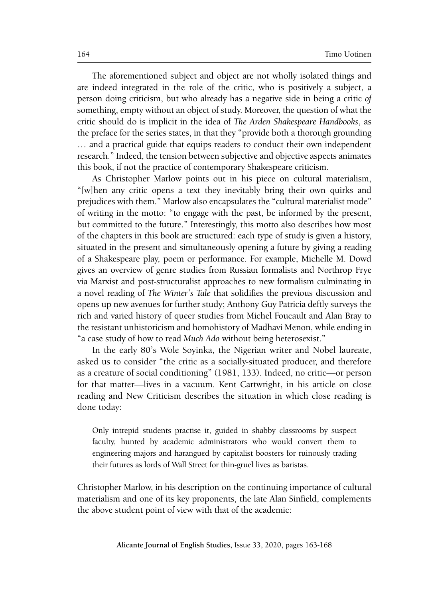The aforementioned subject and object are not wholly isolated things and are indeed integrated in the role of the critic, who is positively a subject, a person doing criticism, but who already has a negative side in being a critic *of* something, empty without an object of study. Moreover, the question of what the critic should do is implicit in the idea of *The Arden Shakespeare Handbooks*, as the preface for the series states, in that they "provide both a thorough grounding … and a practical guide that equips readers to conduct their own independent research." Indeed, the tension between subjective and objective aspects animates this book, if not the practice of contemporary Shakespeare criticism.

As Christopher Marlow points out in his piece on cultural materialism, "[w]hen any critic opens a text they inevitably bring their own quirks and prejudices with them." Marlow also encapsulates the "cultural materialist mode" of writing in the motto: "to engage with the past, be informed by the present, but committed to the future." Interestingly, this motto also describes how most of the chapters in this book are structured: each type of study is given a history, situated in the present and simultaneously opening a future by giving a reading of a Shakespeare play, poem or performance. For example, Michelle M. Dowd gives an overview of genre studies from Russian formalists and Northrop Frye via Marxist and post-structuralist approaches to new formalism culminating in a novel reading of *The Winter's Tale* that solidifies the previous discussion and opens up new avenues for further study; Anthony Guy Patricia deftly surveys the rich and varied history of queer studies from Michel Foucault and Alan Bray to the resistant unhistoricism and homohistory of Madhavi Menon, while ending in "a case study of how to read *Much Ado* without being heterosexist."

In the early 80's Wole Soyinka, the Nigerian writer and Nobel laureate, asked us to consider "the critic as a socially-situated producer, and therefore as a creature of social conditioning" (1981, 133). Indeed, no critic—or person for that matter—lives in a vacuum. Kent Cartwright, in his article on close reading and New Criticism describes the situation in which close reading is done today:

Only intrepid students practise it, guided in shabby classrooms by suspect faculty, hunted by academic administrators who would convert them to engineering majors and harangued by capitalist boosters for ruinously trading their futures as lords of Wall Street for thin-gruel lives as baristas.

Christopher Marlow, in his description on the continuing importance of cultural materialism and one of its key proponents, the late Alan Sinfield, complements the above student point of view with that of the academic: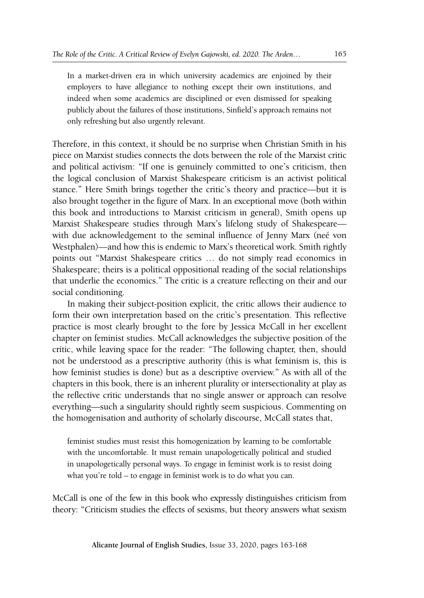In a market-driven era in which university academics are enjoined by their employers to have allegiance to nothing except their own institutions, and indeed when some academics are disciplined or even dismissed for speaking publicly about the failures of those institutions, Sinfield's approach remains not only refreshing but also urgently relevant.

Therefore, in this context, it should be no surprise when Christian Smith in his piece on Marxist studies connects the dots between the role of the Marxist critic and political activism: "If one is genuinely committed to one's criticism, then the logical conclusion of Marxist Shakespeare criticism is an activist political stance." Here Smith brings together the critic's theory and practice—but it is also brought together in the figure of Marx. In an exceptional move (both within this book and introductions to Marxist criticism in general), Smith opens up Marxist Shakespeare studies through Marx's lifelong study of Shakespeare with due acknowledgement to the seminal influence of Jenny Marx (neé von Westphalen)—and how this is endemic to Marx's theoretical work. Smith rightly points out "Marxist Shakespeare critics … do not simply read economics in Shakespeare; theirs is a political oppositional reading of the social relationships that underlie the economics." The critic is a creature reflecting on their and our social conditioning.

In making their subject-position explicit, the critic allows their audience to form their own interpretation based on the critic's presentation. This reflective practice is most clearly brought to the fore by Jessica McCall in her excellent chapter on feminist studies. McCall acknowledges the subjective position of the critic, while leaving space for the reader: "The following chapter, then, should not be understood as a prescriptive authority (this is what feminism is, this is how feminist studies is done) but as a descriptive overview." As with all of the chapters in this book, there is an inherent plurality or intersectionality at play as the reflective critic understands that no single answer or approach can resolve everything—such a singularity should rightly seem suspicious. Commenting on the homogenisation and authority of scholarly discourse, McCall states that,

feminist studies must resist this homogenization by learning to be comfortable with the uncomfortable. It must remain unapologetically political and studied in unapologetically personal ways. To engage in feminist work is to resist doing what you're told – to engage in feminist work is to do what you can.

McCall is one of the few in this book who expressly distinguishes criticism from theory: "Criticism studies the effects of sexisms, but theory answers what sexism

**Alicante Journal of English Studies,** Issue 33, 2020, pages 163-168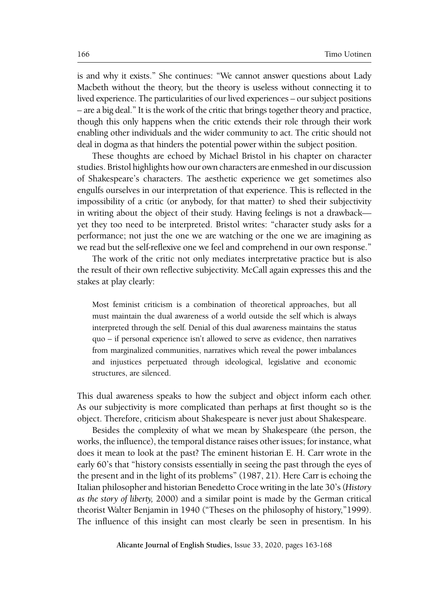is and why it exists." She continues: "We cannot answer questions about Lady Macbeth without the theory, but the theory is useless without connecting it to lived experience. The particularities of our lived experiences – our subject positions – are a big deal." It is the work of the critic that brings together theory and practice, though this only happens when the critic extends their role through their work enabling other individuals and the wider community to act. The critic should not deal in dogma as that hinders the potential power within the subject position.

These thoughts are echoed by Michael Bristol in his chapter on character studies. Bristol highlights how our own characters are enmeshed in our discussion of Shakespeare's characters. The aesthetic experience we get sometimes also engulfs ourselves in our interpretation of that experience. This is reflected in the impossibility of a critic (or anybody, for that matter) to shed their subjectivity in writing about the object of their study. Having feelings is not a drawback yet they too need to be interpreted. Bristol writes: "character study asks for a performance; not just the one we are watching or the one we are imagining as we read but the self-reflexive one we feel and comprehend in our own response."

The work of the critic not only mediates interpretative practice but is also the result of their own reflective subjectivity. McCall again expresses this and the stakes at play clearly:

Most feminist criticism is a combination of theoretical approaches, but all must maintain the dual awareness of a world outside the self which is always interpreted through the self. Denial of this dual awareness maintains the status quo – if personal experience isn't allowed to serve as evidence, then narratives from marginalized communities, narratives which reveal the power imbalances and injustices perpetuated through ideological, legislative and economic structures, are silenced.

This dual awareness speaks to how the subject and object inform each other. As our subjectivity is more complicated than perhaps at first thought so is the object. Therefore, criticism about Shakespeare is never just about Shakespeare.

Besides the complexity of what we mean by Shakespeare (the person, the works, the influence), the temporal distance raises other issues; for instance, what does it mean to look at the past? The eminent historian E. H. Carr wrote in the early 60's that "history consists essentially in seeing the past through the eyes of the present and in the light of its problems" (1987, 21). Here Carr is echoing the Italian philosopher and historian Benedetto Croce writing in the late 30's (*History as the story of liberty,* 2000) and a similar point is made by the German critical theorist Walter Benjamin in 1940 ("Theses on the philosophy of history,"1999). The influence of this insight can most clearly be seen in presentism. In his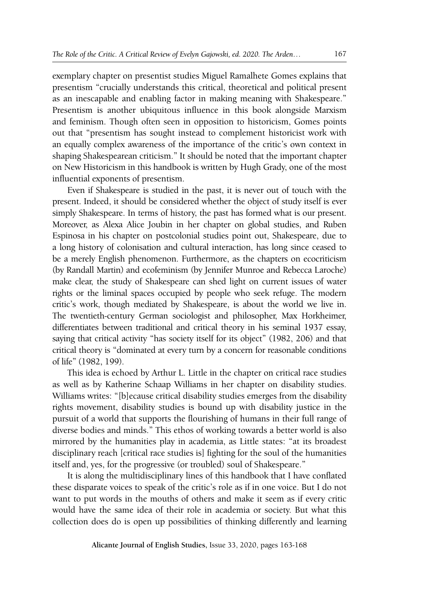exemplary chapter on presentist studies Miguel Ramalhete Gomes explains that presentism "crucially understands this critical, theoretical and political present as an inescapable and enabling factor in making meaning with Shakespeare." Presentism is another ubiquitous influence in this book alongside Marxism and feminism. Though often seen in opposition to historicism, Gomes points out that "presentism has sought instead to complement historicist work with an equally complex awareness of the importance of the critic's own context in shaping Shakespearean criticism." It should be noted that the important chapter on New Historicism in this handbook is written by Hugh Grady, one of the most influential exponents of presentism.

Even if Shakespeare is studied in the past, it is never out of touch with the present. Indeed, it should be considered whether the object of study itself is ever simply Shakespeare. In terms of history, the past has formed what is our present. Moreover, as Alexa Alice Joubin in her chapter on global studies, and Ruben Espinosa in his chapter on postcolonial studies point out, Shakespeare, due to a long history of colonisation and cultural interaction, has long since ceased to be a merely English phenomenon. Furthermore, as the chapters on ecocriticism (by Randall Martin) and ecofeminism (by Jennifer Munroe and Rebecca Laroche) make clear, the study of Shakespeare can shed light on current issues of water rights or the liminal spaces occupied by people who seek refuge. The modern critic's work, though mediated by Shakespeare, is about the world we live in. The twentieth-century German sociologist and philosopher, Max Horkheimer, differentiates between traditional and critical theory in his seminal 1937 essay, saying that critical activity "has society itself for its object" (1982, 206) and that critical theory is "dominated at every turn by a concern for reasonable conditions of life" (1982, 199).

This idea is echoed by Arthur L. Little in the chapter on critical race studies as well as by Katherine Schaap Williams in her chapter on disability studies. Williams writes: "[b]ecause critical disability studies emerges from the disability rights movement, disability studies is bound up with disability justice in the pursuit of a world that supports the flourishing of humans in their full range of diverse bodies and minds." This ethos of working towards a better world is also mirrored by the humanities play in academia, as Little states: "at its broadest disciplinary reach [critical race studies is] fighting for the soul of the humanities itself and, yes, for the progressive (or troubled) soul of Shakespeare."

It is along the multidisciplinary lines of this handbook that I have conflated these disparate voices to speak of the critic's role as if in one voice. But I do not want to put words in the mouths of others and make it seem as if every critic would have the same idea of their role in academia or society. But what this collection does do is open up possibilities of thinking differently and learning